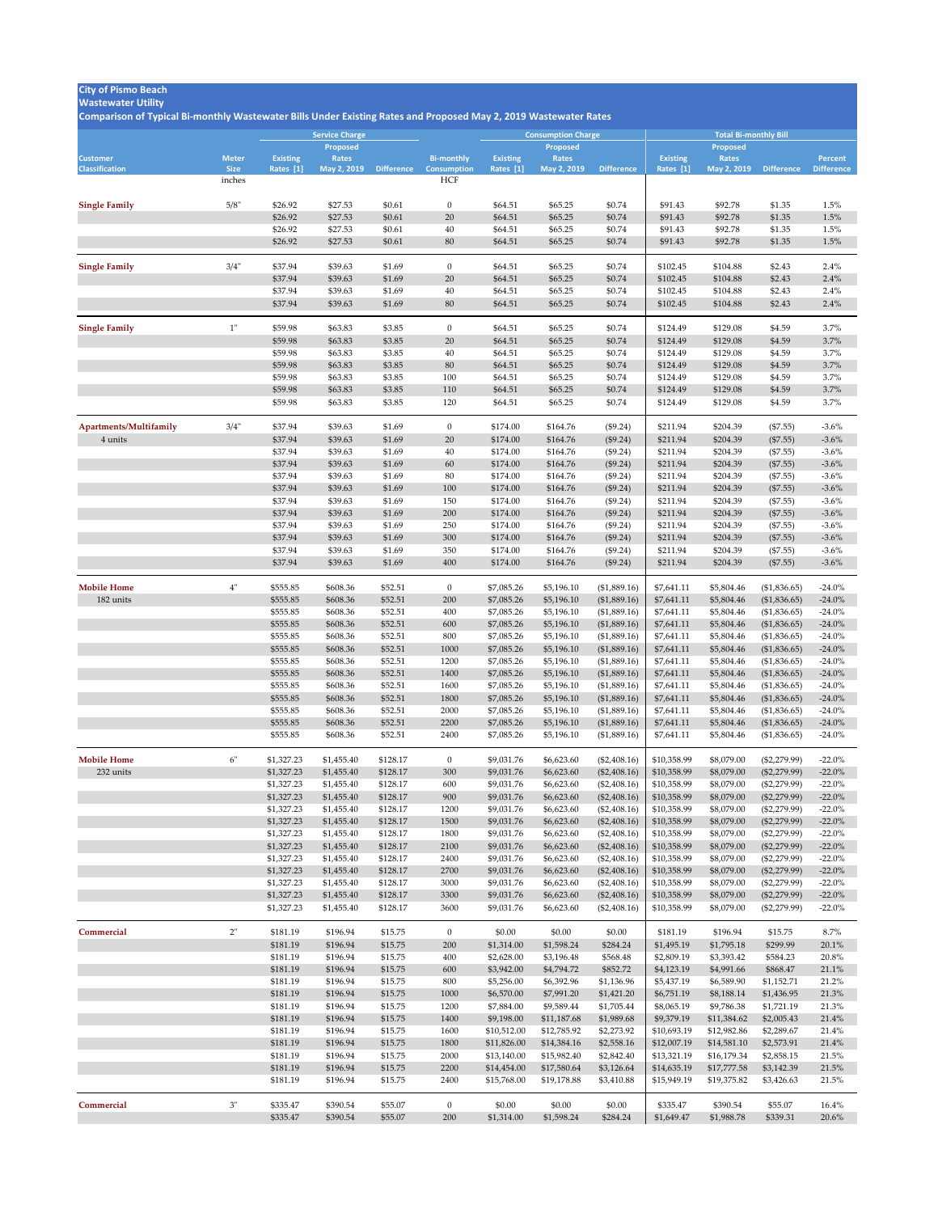## **Wastewater Utility**

|                                          |                             |                              | <b>Service Charge</b>    |                      |                                         |                              | <b>Consumption Charge</b>   |                                |                              | <b>Total Bi-monthly Bill</b> |                                  |                                     |  |  |
|------------------------------------------|-----------------------------|------------------------------|--------------------------|----------------------|-----------------------------------------|------------------------------|-----------------------------|--------------------------------|------------------------------|------------------------------|----------------------------------|-------------------------------------|--|--|
|                                          |                             |                              | <b>Proposed</b>          |                      |                                         |                              | <b>Proposed</b>             |                                |                              | <b>Proposed</b>              |                                  |                                     |  |  |
| <b>Customer</b><br><b>Classification</b> | <b>Meter</b><br><b>Size</b> | <b>Existing</b><br>Rates [1] | Rates<br>May 2, 2019     | <b>Difference</b>    | <b>Bi-monthly</b><br><b>Consumption</b> | <b>Existing</b><br>Rates [1] | <b>Rates</b><br>May 2, 2019 | <b>Difference</b>              | <b>Existing</b><br>Rates [1] | <b>Rates</b><br>May 2, 2019  | <b>Difference</b>                | <b>Percent</b><br><b>Difference</b> |  |  |
|                                          | inches                      |                              |                          |                      | <b>HCF</b>                              |                              |                             |                                |                              |                              |                                  |                                     |  |  |
|                                          |                             |                              |                          |                      |                                         |                              |                             |                                |                              |                              |                                  |                                     |  |  |
| <b>Single Family</b>                     | 5/8"                        | \$26.92                      | \$27.53                  | \$0.61               | $\overline{0}$                          | \$64.51                      | \$65.25                     | \$0.74                         | \$91.43                      | \$92.78                      | \$1.35                           | 1.5%                                |  |  |
|                                          |                             | \$26.92<br>\$26.92           | \$27.53<br>\$27.53       | \$0.61<br>\$0.61     | 20<br>40                                | \$64.51<br>\$64.51           | \$65.25<br>\$65.25          | \$0.74<br>\$0.74               | \$91.43<br>\$91.43           | \$92.78<br>\$92.78           | \$1.35<br>\$1.35                 | 1.5%<br>1.5%                        |  |  |
|                                          |                             | \$26.92                      | \$27.53                  | \$0.61               | 80                                      | \$64.51                      | \$65.25                     | \$0.74                         | \$91.43                      | \$92.78                      | \$1.35                           | 1.5%                                |  |  |
|                                          |                             |                              |                          |                      |                                         |                              |                             |                                |                              |                              |                                  |                                     |  |  |
| <b>Single Family</b>                     | 3/4"                        | \$37.94                      | \$39.63                  | \$1.69               | $\overline{0}$                          | \$64.51                      | \$65.25                     | \$0.74                         | \$102.45                     | \$104.88                     | \$2.43                           | 2.4%                                |  |  |
|                                          |                             | \$37.94                      | \$39.63                  | \$1.69               | 20                                      | \$64.51                      | \$65.25                     | \$0.74                         | \$102.45                     | \$104.88                     | \$2.43                           | 2.4%                                |  |  |
|                                          |                             | \$37.94                      | \$39.63                  | \$1.69               | 40                                      | \$64.51                      | \$65.25                     | \$0.74                         | \$102.45                     | \$104.88                     | \$2.43                           | 2.4%                                |  |  |
|                                          |                             | \$37.94                      | \$39.63                  | \$1.69               | 80                                      | \$64.51                      | \$65.25                     | \$0.74                         | \$102.45                     | \$104.88                     | \$2.43                           | 2.4%                                |  |  |
|                                          |                             |                              |                          |                      |                                         |                              |                             |                                |                              |                              |                                  |                                     |  |  |
| <b>Single Family</b>                     |                             | \$59.98<br>\$59.98           | \$63.83<br>\$63.83       | \$3.85               | $\overline{0}$<br>20                    | \$64.51                      | \$65.25<br>\$65.25          | \$0.74<br>\$0.74               | \$124.49<br>\$124.49         | \$129.08<br>\$129.08         | \$4.59<br>\$4.59                 | 3.7%<br>3.7%                        |  |  |
|                                          |                             | \$59.98                      | \$63.83                  | \$3.85<br>\$3.85     | 40                                      | \$64.51<br>\$64.51           | \$65.25                     | \$0.74                         | \$124.49                     | \$129.08                     | \$4.59                           | 3.7%                                |  |  |
|                                          |                             | \$59.98                      | \$63.83                  | \$3.85               | 80                                      | \$64.51                      | \$65.25                     | \$0.74                         | \$124.49                     | \$129.08                     | \$4.59                           | 3.7%                                |  |  |
|                                          |                             | \$59.98                      | \$63.83                  | \$3.85               | 100                                     | \$64.51                      | \$65.25                     | \$0.74                         | \$124.49                     | \$129.08                     | \$4.59                           | 3.7%                                |  |  |
|                                          |                             | \$59.98                      | \$63.83                  | \$3.85               | 110                                     | \$64.51                      | \$65.25                     | \$0.74                         | \$124.49                     | \$129.08                     | \$4.59                           | 3.7%                                |  |  |
|                                          |                             | \$59.98                      | \$63.83                  | \$3.85               | 120                                     | \$64.51                      | \$65.25                     | \$0.74                         | \$124.49                     | \$129.08                     | \$4.59                           | 3.7%                                |  |  |
|                                          | 3/4"                        | \$37.94                      | \$39.63                  | \$1.69               | $\overline{0}$                          | \$174.00                     | \$164.76                    |                                | \$211.94                     | \$204.39                     |                                  | $-3.6\%$                            |  |  |
| Apartments/Multifamily<br>4 units        |                             | \$37.94                      | \$39.63                  | \$1.69               | 20                                      | \$174.00                     | \$164.76                    | (\$9.24)<br>(\$9.24)           | \$211.94                     | \$204.39                     | $(\$7.55)$<br>(\$7.55)           | $-3.6\%$                            |  |  |
|                                          |                             | \$37.94                      | \$39.63                  | \$1.69               | 40                                      | \$174.00                     | \$164.76                    | (\$9.24)                       | \$211.94                     | \$204.39                     | $(\$7.55)$                       | $-3.6\%$                            |  |  |
|                                          |                             | \$37.94                      | \$39.63                  | \$1.69               | 60                                      | \$174.00                     | \$164.76                    | (\$9.24)                       | \$211.94                     | \$204.39                     | (\$7.55)                         | $-3.6\%$                            |  |  |
|                                          |                             | \$37.94                      | \$39.63                  | \$1.69               | 80                                      | \$174.00                     | \$164.76                    | (\$9.24)                       | \$211.94                     | \$204.39                     | $(\$7.55)$                       | $-3.6\%$                            |  |  |
|                                          |                             | \$37.94                      | \$39.63                  | \$1.69               | 100                                     | \$174.00                     | \$164.76                    | (\$9.24)                       | \$211.94                     | \$204.39                     | (\$7.55)                         | $-3.6\%$                            |  |  |
|                                          |                             | \$37.94                      | \$39.63                  | \$1.69               | 150                                     | \$174.00                     | \$164.76                    | (\$9.24)                       | \$211.94                     | \$204.39                     | $(\$7.55)$                       | $-3.6\%$                            |  |  |
|                                          |                             | \$37.94                      | \$39.63                  | \$1.69               | 200                                     | \$174.00                     | \$164.76                    | (\$9.24)                       | \$211.94                     | \$204.39                     | (\$7.55)                         | $-3.6\%$                            |  |  |
|                                          |                             | \$37.94                      | \$39.63                  | \$1.69               | 250                                     | \$174.00                     | \$164.76                    | (\$9.24)                       | \$211.94                     | \$204.39                     | $(\$7.55)$                       | $-3.6\%$                            |  |  |
|                                          |                             | \$37.94<br>\$37.94           | \$39.63<br>\$39.63       | \$1.69<br>\$1.69     | 300<br>350                              | \$174.00<br>\$174.00         | \$164.76<br>\$164.76        | (\$9.24)<br>(\$9.24)           | \$211.94<br>\$211.94         | \$204.39<br>\$204.39         | (\$7.55)<br>(\$7.55)             | $-3.6\%$<br>$-3.6\%$                |  |  |
|                                          |                             | \$37.94                      | \$39.63                  | \$1.69               | 400                                     | \$174.00                     | \$164.76                    | (\$9.24)                       | \$211.94                     | \$204.39                     | (\$7.55)                         | $-3.6\%$                            |  |  |
|                                          |                             |                              |                          |                      |                                         |                              |                             |                                |                              |                              |                                  |                                     |  |  |
| <b>Mobile Home</b>                       | 4"                          | \$555.85                     | \$608.36                 | \$52.51              | $\overline{0}$                          | \$7,085.26                   | \$5,196.10                  | (\$1,889.16)                   | \$7,641.11                   | \$5,804.46                   | (\$1,836.65)                     | $-24.0\%$                           |  |  |
| 182 units                                |                             | \$555.85                     | \$608.36                 | \$52.51              | 200                                     | \$7,085.26                   | \$5,196.10                  | (\$1,889.16)                   | \$7,641.11                   | \$5,804.46                   | (\$1,836.65)                     | $-24.0\%$                           |  |  |
|                                          |                             | \$555.85                     | \$608.36                 | \$52.51              | 400                                     | \$7,085.26                   | \$5,196.10                  | (\$1,889.16)                   | \$7,641.11                   | \$5,804.46                   | (\$1,836.65)                     | $-24.0\%$                           |  |  |
|                                          |                             | \$555.85<br>\$555.85         | \$608.36<br>\$608.36     | \$52.51<br>\$52.51   | 600<br>800                              | \$7,085.26<br>\$7,085.26     | \$5,196.10<br>\$5,196.10    | (\$1,889.16)<br>(\$1,889.16)   | \$7,641.11<br>\$7,641.11     | \$5,804.46<br>\$5,804.46     | (\$1,836.65)<br>(\$1,836.65)     | $-24.0\%$<br>$-24.0\%$              |  |  |
|                                          |                             | \$555.85                     | \$608.36                 | \$52.51              | 1000                                    | \$7,085.26                   | \$5,196.10                  | (\$1,889.16)                   | \$7,641.11                   | \$5,804.46                   | (\$1,836.65)                     | $-24.0\%$                           |  |  |
|                                          |                             | \$555.85                     | \$608.36                 | \$52.51              | 1200                                    | \$7,085.26                   | \$5,196.10                  | (\$1,889.16)                   | \$7,641.11                   | \$5,804.46                   | (\$1,836.65)                     | $-24.0\%$                           |  |  |
|                                          |                             | \$555.85                     | \$608.36                 | \$52.51              | 1400                                    | \$7,085.26                   | \$5,196.10                  | (\$1,889.16)                   | \$7,641.11                   | \$5,804.46                   | (\$1,836.65)                     | $-24.0\%$                           |  |  |
|                                          |                             | \$555.85                     | \$608.36                 | \$52.51              | 1600                                    | \$7,085.26                   | \$5,196.10                  | (\$1,889.16)                   | \$7,641.11                   | \$5,804.46                   | (\$1,836.65)                     | $-24.0\%$                           |  |  |
|                                          |                             | \$555.85                     | \$608.36                 | \$52.51              | 1800                                    | \$7,085.26                   | \$5,196.10                  | (\$1,889.16)                   | \$7,641.11                   | \$5,804.46                   | (\$1,836.65)                     | $-24.0\%$                           |  |  |
|                                          |                             | \$555.85                     | \$608.36                 | \$52.51              | 2000                                    | \$7,085.26                   | \$5,196.10                  | (\$1,889.16)                   | \$7,641.11                   | \$5,804.46                   | (\$1,836.65)                     | $-24.0\%$                           |  |  |
|                                          |                             | \$555.85                     | \$608.36                 | \$52.51              | 2200                                    | \$7,085.26                   | \$5,196.10                  | (\$1,889.16)                   | \$7,641.11                   | \$5,804.46                   | (\$1,836.65)                     | $-24.0\%$                           |  |  |
|                                          |                             | \$555.85                     | \$608.36                 | \$52.51              | 2400                                    | \$7,085.26                   | \$5,196.10                  | (\$1,889.16)                   | \$7,641.11                   | \$5,804.46                   | (\$1,836.65)                     | $-24.0\%$                           |  |  |
| <b>Mobile Home</b>                       | 6"                          | \$1,327.23                   | \$1,455.40               | \$128.17             | $\overline{0}$                          | \$9,031.76                   | \$6,623.60                  | $(\$2,408.16)$                 | \$10,358.99                  | \$8,079.00                   | $(\$2,279.99)$                   | $-22.0\%$                           |  |  |
| 232 units                                |                             | \$1,327.23                   | \$1,455.40               | \$128.17             | 300                                     | \$9,031.76                   | \$6,623.60                  | $(\$2,408.16)$                 | \$10,358.99                  | \$8,079.00                   | $(\$2,279.99)$                   | $-22.0\%$                           |  |  |
|                                          |                             | \$1,327.23                   | \$1,455.40               | \$128.17             | 600                                     | \$9,031.76                   | \$6,623.60                  | $(\$2,408.16)$                 | \$10,358.99                  | \$8,079.00                   | $(\$2,279.99)$                   | $-22.0\%$                           |  |  |
|                                          |                             | \$1,327.23                   | \$1,455.40               | \$128.17             | 900                                     | \$9,031.76                   | \$6,623.60                  | (\$2,408.16)                   | \$10,358.99                  | \$8,079.00                   | $(\$2,279.99)$                   | $-22.0\%$                           |  |  |
|                                          |                             | \$1,327.23                   | \$1,455.40               | \$128.17             | 1200                                    | \$9,031.76                   | \$6,623.60                  | $(\$2,408.16)$                 | \$10,358.99                  | \$8,079.00                   | $(\$2,279.99)$                   | $-22.0\%$                           |  |  |
|                                          |                             | \$1,327.23<br>\$1,327.23     | \$1,455.40<br>\$1,455.40 | \$128.17<br>\$128.17 | 1500<br>1800                            | \$9,031.76<br>\$9,031.76     | \$6,623.60<br>\$6,623.60    | (\$2,408.16)<br>$(\$2,408.16)$ | \$10,358.99<br>\$10,358.99   | \$8,079.00<br>\$8,079.00     | $(\$2,279.99)$<br>$(\$2,279.99)$ | $-22.0\%$<br>$-22.0\%$              |  |  |
|                                          |                             | \$1,327.23                   | \$1,455.40               | \$128.17             | 2100                                    | \$9,031.76                   | \$6,623.60                  | (\$2,408.16)                   | \$10,358.99                  | \$8,079.00                   | $(\$2,279.99)$                   | $-22.0\%$                           |  |  |
|                                          |                             | \$1,327.23                   | \$1,455.40               | \$128.17             | 2400                                    | \$9,031.76                   | \$6,623.60                  | $(\$2,408.16)$                 | \$10,358.99                  | \$8,079.00                   | $(\$2,279.99)$                   | $-22.0\%$                           |  |  |
|                                          |                             | \$1,327.23                   | \$1,455.40               | \$128.17             | 2700                                    | \$9,031.76                   | \$6,623.60                  | (\$2,408.16)                   | \$10,358.99                  | \$8,079.00                   | $(\$2,279.99)$                   | $-22.0\%$                           |  |  |
|                                          |                             | \$1,327.23                   | \$1,455.40               | \$128.17             | 3000                                    | \$9,031.76                   | \$6,623.60                  | $(\$2,408.16)$                 | \$10,358.99                  | \$8,079.00                   | $(\$2,279.99)$                   | $-22.0\%$                           |  |  |
|                                          |                             | \$1,327.23                   | \$1,455.40               | \$128.17             | 3300                                    | \$9,031.76                   | \$6,623.60                  | (\$2,408.16)                   | \$10,358.99                  | \$8,079.00                   | $(\$2,279.99)$                   | $-22.0\%$                           |  |  |
|                                          |                             | \$1,327.23                   | \$1,455.40               | \$128.17             | 3600                                    | \$9,031.76                   | \$6,623.60                  | $(\$2,408.16)$                 | \$10,358.99                  | \$8,079.00                   | $(\$2,279.99)$                   | $-22.0\%$                           |  |  |
| Commercial                               | 2"                          | \$181.19                     | \$196.94                 | \$15.75              | $\overline{0}$                          | \$0.00                       | \$0.00                      | \$0.00                         | \$181.19                     | \$196.94                     | \$15.75                          | $8.7\%$                             |  |  |
|                                          |                             | \$181.19                     | \$196.94                 | \$15.75              | 200                                     | \$1,314.00                   | \$1,598.24                  | \$284.24                       | \$1,495.19                   | \$1,795.18                   | \$299.99                         | 20.1%                               |  |  |
|                                          |                             | \$181.19                     | \$196.94                 | \$15.75              | 400                                     | \$2,628.00                   | \$3,196.48                  | \$568.48                       | \$2,809.19                   | \$3,393.42                   | \$584.23                         | 20.8%                               |  |  |
|                                          |                             | \$181.19                     | \$196.94                 | \$15.75              | 600                                     | \$3,942.00                   | \$4,794.72                  | \$852.72                       | \$4,123.19                   | \$4,991.66                   | \$868.47                         | 21.1%                               |  |  |
|                                          |                             | \$181.19                     | \$196.94                 | \$15.75              | 800                                     | \$5,256.00                   | \$6,392.96                  | \$1,136.96                     | \$5,437.19                   | \$6,589.90                   | \$1,152.71                       | 21.2%                               |  |  |
|                                          |                             | \$181.19                     | \$196.94                 | \$15.75              | 1000                                    | \$6,570.00                   | \$7,991.20                  | \$1,421.20                     | \$6,751.19                   | \$8,188.14                   | \$1,436.95                       | 21.3%                               |  |  |
|                                          |                             | \$181.19                     | \$196.94                 | \$15.75              | 1200                                    | \$7,884.00                   | \$9,589.44                  | \$1,705.44                     | \$8,065.19                   | \$9,786.38                   | \$1,721.19                       | 21.3%                               |  |  |
|                                          |                             | \$181.19                     | \$196.94                 | \$15.75              | 1400                                    | \$9,198.00                   | \$11,187.68                 | \$1,989.68                     | \$9,379.19                   | \$11,384.62                  | \$2,005.43                       | 21.4%                               |  |  |
|                                          |                             | \$181.19                     | \$196.94                 | \$15.75              | 1600                                    | \$10,512.00                  | \$12,785.92                 | \$2,273.92                     | \$10,693.19                  | \$12,982.86                  | \$2,289.67                       | 21.4%                               |  |  |
|                                          |                             | \$181.19<br>\$181.19         | \$196.94<br>\$196.94     | \$15.75<br>\$15.75   | 1800<br>2000                            | \$11,826.00<br>\$13,140.00   | \$14,384.16<br>\$15,982.40  | \$2,558.16<br>\$2,842.40       | \$12,007.19<br>\$13,321.19   | \$14,581.10<br>\$16,179.34   | \$2,573.91<br>\$2,858.15         | 21.4%<br>21.5%                      |  |  |
|                                          |                             | \$181.19                     | \$196.94                 | \$15.75              | 2200                                    | \$14,454.00                  | \$17,580.64                 | \$3,126.64                     | \$14,635.19                  | \$17,777.58                  | \$3,142.39                       | 21.5%                               |  |  |
|                                          |                             | \$181.19                     | \$196.94                 | \$15.75              | 2400                                    | \$15,768.00                  | \$19,178.88                 | \$3,410.88                     | \$15,949.19                  | \$19,375.82                  | \$3,426.63                       | 21.5%                               |  |  |
|                                          |                             |                              |                          |                      |                                         |                              |                             |                                |                              |                              |                                  |                                     |  |  |
| Commercial                               | 3"                          | \$335.47                     | \$390.54                 | \$55.07              | $\theta$                                | \$0.00                       | \$0.00                      | \$0.00                         | \$335.47                     | \$390.54                     | \$55.07                          | 16.4%                               |  |  |
|                                          |                             | \$335.47                     | \$390.54                 | \$55.07              | 200                                     | \$1,314.00                   | \$1,598.24                  | \$284.24                       | \$1,649.47                   | \$1,988.78                   | \$339.31                         | 20.6%                               |  |  |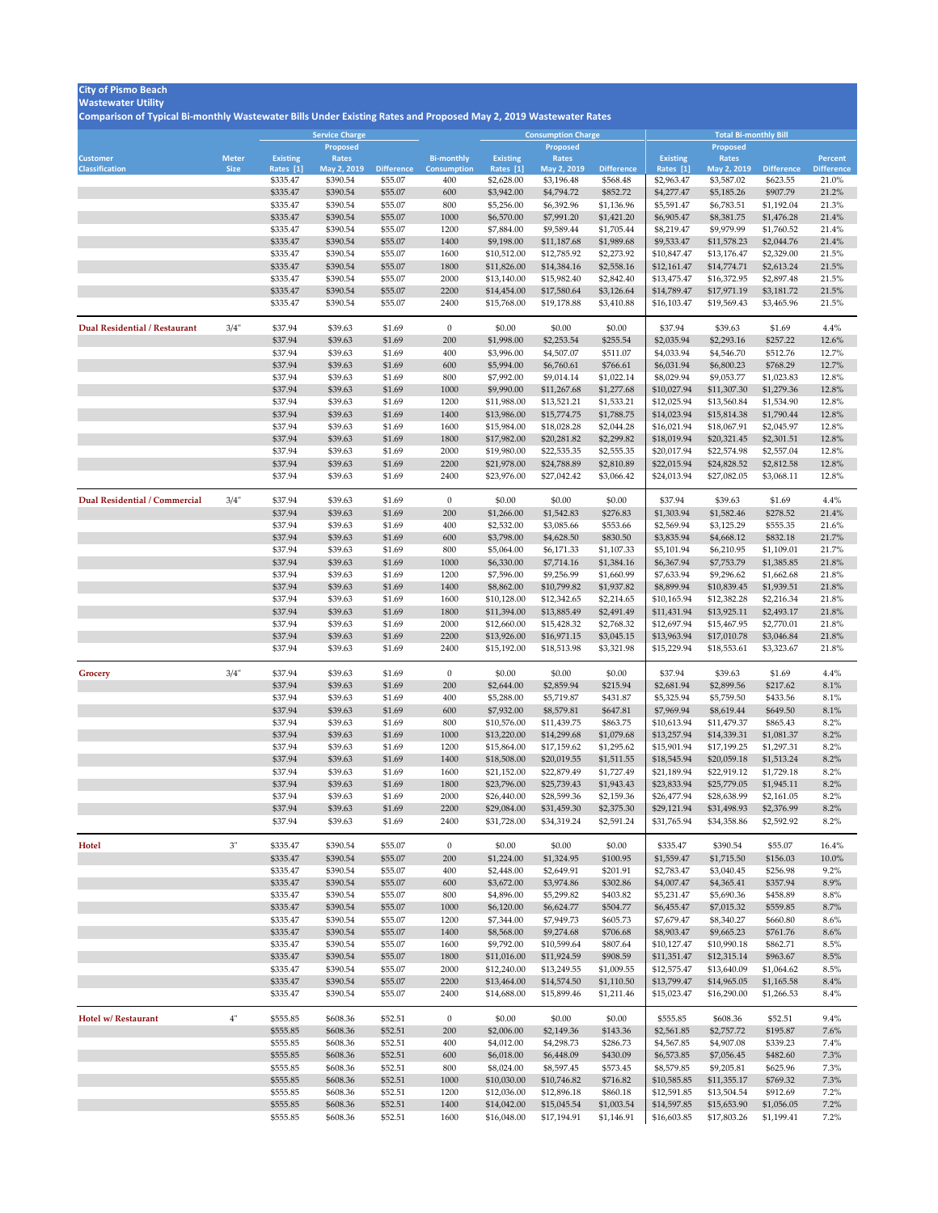## **Wastewater Utility**

|                                          |                             |                              | Service Charge              |                    |                                         |                              | <b>Consumption Charge</b>   |                          | <b>Total Bi-monthly Bill</b> |                             |                          |                                     |  |
|------------------------------------------|-----------------------------|------------------------------|-----------------------------|--------------------|-----------------------------------------|------------------------------|-----------------------------|--------------------------|------------------------------|-----------------------------|--------------------------|-------------------------------------|--|
|                                          |                             |                              | <b>Proposed</b>             |                    |                                         |                              | <b>Proposed</b>             |                          |                              | <b>Proposed</b>             |                          |                                     |  |
| <b>Customer</b><br><b>Classification</b> | <b>Meter</b><br><b>Size</b> | <b>Existing</b><br>Rates [1] | <b>Rates</b><br>May 2, 2019 | <b>Difference</b>  | <b>Bi-monthly</b><br><b>Consumption</b> | <b>Existing</b><br>Rates [1] | <b>Rates</b><br>May 2, 2019 | <b>Difference</b>        | <b>Existing</b><br>Rates [1] | <b>Rates</b><br>May 2, 2019 | <b>Difference</b>        | <b>Percent</b><br><b>Difference</b> |  |
|                                          |                             | \$335.47                     | \$390.54                    | \$55.07            | 400                                     | \$2,628.00                   | \$3,196.48                  | \$568.48                 | \$2,963.47                   | \$3,587.02                  | \$623.55                 | 21.0%                               |  |
|                                          |                             | \$335.47                     | \$390.54                    | \$55.07            | 600                                     | \$3,942.00                   | \$4,794.72                  | \$852.72                 | \$4,277.47                   | \$5,185.26                  | \$907.79                 | 21.2%                               |  |
|                                          |                             | \$335.47                     | \$390.54                    | \$55.07            | 800                                     | \$5,256.00                   | \$6,392.96                  | \$1,136.96               | \$5,591.47                   | \$6,783.51                  | \$1,192.04               | 21.3%                               |  |
|                                          |                             | \$335.47                     | \$390.54                    | \$55.07            | 1000                                    | \$6,570.00                   | \$7,991.20                  | \$1,421.20               | \$6,905.47                   | \$8,381.75                  | \$1,476.28               | 21.4%                               |  |
|                                          |                             | \$335.47                     | \$390.54                    | \$55.07            | 1200                                    | \$7,884.00                   | \$9,589.44                  | \$1,705.44               | \$8,219.47                   | \$9,979.99                  | \$1,760.52               | 21.4%                               |  |
|                                          |                             | \$335.47                     | \$390.54                    | \$55.07            | 1400                                    | \$9,198.00                   | \$11,187.68                 | \$1,989.68               | \$9,533.47                   | \$11,578.23                 | \$2,044.76               | 21.4%                               |  |
|                                          |                             | \$335.47                     | \$390.54                    | \$55.07            | 1600                                    | \$10,512.00                  | \$12,785.92                 | \$2,273.92               | \$10,847.47                  | \$13,176.47                 | \$2,329.00               | 21.5%                               |  |
|                                          |                             | \$335.47                     | \$390.54                    | \$55.07            | 1800                                    | \$11,826.00                  | \$14,384.16                 | \$2,558.16               | \$12,161.47                  | \$14,774.71                 | \$2,613.24               | 21.5%                               |  |
|                                          |                             | \$335.47                     | \$390.54                    | \$55.07            | 2000                                    | \$13,140.00                  | \$15,982.40                 | \$2,842.40               | \$13,475.47                  | \$16,372.95                 | \$2,897.48               | 21.5%                               |  |
|                                          |                             | \$335.47                     | \$390.54                    | \$55.07            | 2200                                    | \$14,454.00                  | \$17,580.64                 | \$3,126.64               | \$14,789.47                  | \$17,971.19                 | \$3,181.72               | 21.5%                               |  |
|                                          |                             | \$335.47                     | \$390.54                    | \$55.07            | 2400                                    | \$15,768.00                  | \$19,178.88                 | \$3,410.88               | \$16,103.47                  | \$19,569.43                 | \$3,465.96               | 21.5%                               |  |
| <b>Dual Residential / Restaurant</b>     | 3/4"                        | \$37.94                      | \$39.63                     | \$1.69             | $\overline{0}$                          | \$0.00                       | \$0.00                      | \$0.00                   | \$37.94                      | \$39.63                     | \$1.69                   | 4.4%                                |  |
|                                          |                             | \$37.94                      | \$39.63                     | \$1.69             | 200                                     | \$1,998.00                   | \$2,253.54                  | \$255.54                 | \$2,035.94                   | \$2,293.16                  | \$257.22                 | 12.6%                               |  |
|                                          |                             | \$37.94                      | \$39.63                     | \$1.69             | 400                                     | \$3,996.00                   | \$4,507.07                  | \$511.07                 | \$4,033.94                   | \$4,546.70                  | \$512.76                 | 12.7%                               |  |
|                                          |                             | \$37.94                      | \$39.63                     | \$1.69             | 600                                     | \$5,994.00                   | \$6,760.61                  | \$766.61                 | \$6,031.94                   | \$6,800.23                  | \$768.29                 | 12.7%                               |  |
|                                          |                             | \$37.94                      | \$39.63                     | \$1.69             | 800                                     | \$7,992.00                   | \$9,014.14                  | \$1,022.14               | \$8,029.94                   | \$9,053.77                  | \$1,023.83               | 12.8%                               |  |
|                                          |                             | \$37.94                      | \$39.63                     | \$1.69             | 1000                                    | \$9,990.00                   | \$11,267.68                 | \$1,277.68               | \$10,027.94                  | \$11,307.30                 | \$1,279.36               | 12.8%                               |  |
|                                          |                             | \$37.94                      | \$39.63                     | \$1.69             | 1200                                    | \$11,988.00                  | \$13,521.21                 | \$1,533.21               | \$12,025.94                  | \$13,560.84                 | \$1,534.90               | 12.8%                               |  |
|                                          |                             | \$37.94                      | \$39.63                     | \$1.69             | 1400                                    | \$13,986.00                  | \$15,774.75                 | \$1,788.75               | \$14,023.94                  | \$15,814.38                 | \$1,790.44               | 12.8%                               |  |
|                                          |                             | \$37.94                      | \$39.63                     | \$1.69             | 1600                                    | \$15,984.00                  | \$18,028.28                 | \$2,044.28               | \$16,021.94                  | \$18,067.91                 | \$2,045.97               | 12.8%                               |  |
|                                          |                             | \$37.94                      | \$39.63                     | \$1.69             | 1800                                    | \$17,982.00                  | \$20,281.82                 | \$2,299.82               | \$18,019.94                  | \$20,321.45                 | \$2,301.51               | 12.8%                               |  |
|                                          |                             | \$37.94                      | \$39.63                     | \$1.69             | 2000                                    | \$19,980.00                  | \$22,535.35                 | \$2,555.35               | \$20,017.94                  | \$22,574.98                 | \$2,557.04               | 12.8%                               |  |
|                                          |                             | \$37.94                      | \$39.63                     | \$1.69             | 2200                                    | \$21,978.00                  | \$24,788.89                 | \$2,810.89               | \$22,015.94                  | \$24,828.52                 | \$2,812.58               | 12.8%                               |  |
|                                          |                             | \$37.94                      | \$39.63                     | \$1.69             | 2400                                    | \$23,976.00                  | \$27,042.42                 | \$3,066.42               | \$24,013.94                  | \$27,082.05                 | \$3,068.11               | 12.8%                               |  |
| Dual Residential / Commercial            | 3/4"                        | \$37.94                      | \$39.63                     | \$1.69             | $\overline{0}$                          | \$0.00                       | \$0.00                      | \$0.00                   | \$37.94                      | \$39.63                     | \$1.69                   | 4.4%                                |  |
|                                          |                             | \$37.94                      | \$39.63                     | \$1.69             | 200                                     | \$1,266.00                   | \$1,542.83                  | \$276.83                 | \$1,303.94                   | \$1,582.46                  | \$278.52                 | 21.4%                               |  |
|                                          |                             | \$37.94                      | \$39.63                     | \$1.69             | 400                                     | \$2,532.00                   | \$3,085.66                  | \$553.66                 | \$2,569.94                   | \$3,125.29                  | \$555.35                 | 21.6%                               |  |
|                                          |                             | \$37.94                      | \$39.63                     | \$1.69             | 600                                     | \$3,798.00                   | \$4,628.50                  | \$830.50                 | \$3,835.94                   | \$4,668.12                  | \$832.18                 | 21.7%                               |  |
|                                          |                             | \$37.94                      | \$39.63                     | \$1.69             | 800                                     | \$5,064.00                   | \$6,171.33                  | \$1,107.33               | \$5,101.94                   | \$6,210.95                  | \$1,109.01               | 21.7%                               |  |
|                                          |                             | \$37.94                      | \$39.63                     | \$1.69             | 1000                                    | \$6,330.00                   | \$7,714.16                  | \$1,384.16               | \$6,367.94                   | \$7,753.79                  | \$1,385.85               | 21.8%                               |  |
|                                          |                             | \$37.94                      | \$39.63                     | \$1.69             | 1200                                    | \$7,596.00                   | \$9,256.99                  | \$1,660.99               | \$7,633.94                   | \$9,296.62                  | \$1,662.68               | 21.8%                               |  |
|                                          |                             | \$37.94                      | \$39.63                     | \$1.69             | 1400                                    | \$8,862.00                   | \$10,799.82                 | \$1,937.82               | \$8,899.94                   | \$10,839.45                 | \$1,939.51               | 21.8%                               |  |
|                                          |                             | \$37.94                      | \$39.63                     | \$1.69             | 1600                                    | \$10,128.00                  | \$12,342.65                 | \$2,214.65               | \$10,165.94                  | \$12,382.28                 | \$2,216.34               | 21.8%                               |  |
|                                          |                             | \$37.94<br>\$37.94           | \$39.63<br>\$39.63          | \$1.69<br>\$1.69   | 1800<br>2000                            | \$11,394.00<br>\$12,660.00   | \$13,885.49<br>\$15,428.32  | \$2,491.49<br>\$2,768.32 | \$11,431.94<br>\$12,697.94   | \$13,925.11<br>\$15,467.95  | \$2,493.17<br>\$2,770.01 | 21.8%<br>21.8%                      |  |
|                                          |                             | \$37.94                      | \$39.63                     | \$1.69             | 2200                                    | \$13,926.00                  | \$16,971.15                 | \$3,045.15               | \$13,963.94                  | \$17,010.78                 | \$3,046.84               | 21.8%                               |  |
|                                          |                             | \$37.94                      | \$39.63                     | \$1.69             | 2400                                    | \$15,192.00                  | \$18,513.98                 | \$3,321.98               | \$15,229.94                  | \$18,553.61                 | \$3,323.67               | 21.8%                               |  |
| Grocery                                  | 3/4"                        | \$37.94                      | \$39.63                     | \$1.69             | $\overline{0}$                          | \$0.00                       | \$0.00                      | \$0.00                   | \$37.94                      | \$39.63                     | \$1.69                   | 4.4%                                |  |
|                                          |                             | \$37.94                      | \$39.63                     | \$1.69             | 200                                     | \$2,644.00                   | \$2,859.94                  | \$215.94                 | \$2,681.94                   | \$2,899.56                  | \$217.62                 | 8.1%                                |  |
|                                          |                             | \$37.94                      | \$39.63                     | \$1.69             | 400                                     | \$5,288.00                   | \$5,719.87                  | \$431.87                 | \$5,325.94                   | \$5,759.50                  | \$433.56                 | 8.1%                                |  |
|                                          |                             | \$37.94                      | \$39.63                     | \$1.69             | 600                                     | \$7,932.00                   | \$8,579.81                  | \$647.81                 | \$7,969.94                   | \$8,619.44                  | \$649.50                 | 8.1%                                |  |
|                                          |                             | \$37.94                      | \$39.63                     | \$1.69             | 800                                     | \$10,576.00                  | \$11,439.75                 | \$863.75                 | \$10,613.94                  | \$11,479.37                 | \$865.43                 | 8.2%                                |  |
|                                          |                             | \$37.94                      | \$39.63                     | \$1.69             | 1000                                    | \$13,220.00                  | \$14,299.68                 | \$1,079.68               | \$13,257.94                  | \$14,339.31                 | \$1,081.37               | 8.2%                                |  |
|                                          |                             | \$37.94                      | \$39.63                     | \$1.69             | 1200                                    | \$15,864.00                  | \$17,159.62                 | \$1,295.62               | \$15,901.94                  | \$17,199.25                 | \$1,297.31               | 8.2%                                |  |
|                                          |                             | \$37.94                      | \$39.63                     | \$1.69             | 1400                                    | \$18,508.00                  | \$20,019.55                 | \$1,511.55               | \$18,545.94                  | \$20,059.18                 | \$1,513.24               | 8.2%                                |  |
|                                          |                             | \$37.94                      | \$39.63                     | \$1.69             | 1600                                    | \$21,152.00                  | \$22,879.49                 | \$1,727.49               | \$21,189.94                  | \$22,919.12                 | \$1,729.18               | 8.2%                                |  |
|                                          |                             | \$37.94                      | \$39.63                     | \$1.69             | 1800                                    | \$23,796.00                  | \$25,739.43                 | \$1,943.43               | \$23,833.94                  | \$25,779.05                 | \$1,945.11               | 8.2%                                |  |
|                                          |                             | \$37.94                      | \$39.63                     | \$1.69             | 2000                                    | \$26,440.00                  | \$28,599.36                 | \$2,159.36               | \$26,477.94                  | \$28,638.99                 | \$2,161.05               | 8.2%                                |  |
|                                          |                             | \$37.94                      | \$39.63                     | \$1.69             | 2200                                    | \$29,084.00                  | \$31,459.30                 | \$2,375.30               | \$29,121.94                  | \$31,498.93                 | \$2,376.99               | 8.2%                                |  |
|                                          |                             | \$37.94                      | \$39.63                     | \$1.69             | 2400                                    | \$31,728.00                  | \$34,319.24                 | \$2,591.24               | \$31,765.94                  | \$34,358.86                 | \$2,592.92               | 8.2%                                |  |
| <b>Hotel</b>                             | 3"                          | \$335.47                     | \$390.54                    | \$55.07            | $\overline{0}$                          | \$0.00                       | \$0.00                      | \$0.00                   | \$335.47                     | \$390.54                    | \$55.07                  | 16.4%                               |  |
|                                          |                             | \$335.47                     | \$390.54                    | \$55.07            | 200                                     | \$1,224.00                   | \$1,324.95                  | \$100.95                 | \$1,559.47                   | \$1,715.50                  | \$156.03                 | 10.0%                               |  |
|                                          |                             | \$335.47                     | \$390.54                    | \$55.07            | 400                                     | \$2,448.00                   | \$2,649.91                  | \$201.91                 | \$2,783.47                   | \$3,040.45                  | \$256.98                 | $9.2\%$                             |  |
|                                          |                             | \$335.47                     | \$390.54                    | \$55.07            | 600                                     | \$3,672.00                   | \$3,974.86                  | \$302.86                 | \$4,007.47                   | \$4,365.41                  | \$357.94                 | 8.9%                                |  |
|                                          |                             | \$335.47                     | \$390.54                    | \$55.07            | 800                                     | \$4,896.00                   | \$5,299.82                  | \$403.82                 | \$5,231.47                   | \$5,690.36                  | \$458.89                 | 8.8%                                |  |
|                                          |                             | \$335.47                     | \$390.54                    | \$55.07            | 1000                                    | \$6,120.00                   | \$6,624.77                  | \$504.77                 | \$6,455.47                   | \$7,015.32                  | \$559.85                 | 8.7%                                |  |
|                                          |                             | \$335.47                     | \$390.54                    | \$55.07            | 1200                                    | \$7,344.00                   | \$7,949.73                  | \$605.73                 | \$7,679.47                   | \$8,340.27                  | \$660.80                 | 8.6%                                |  |
|                                          |                             | \$335.47                     | \$390.54                    | \$55.07            | 1400                                    | \$8,568.00                   | \$9,274.68                  | \$706.68                 | \$8,903.47                   | \$9,665.23                  | \$761.76                 | 8.6%                                |  |
|                                          |                             | \$335.47                     | \$390.54                    | \$55.07            | 1600                                    | \$9,792.00                   | \$10,599.64                 | \$807.64                 | \$10,127.47                  | \$10,990.18                 | \$862.71                 | 8.5%                                |  |
|                                          |                             | \$335.47                     | \$390.54                    | \$55.07            | 1800                                    | \$11,016.00                  | \$11,924.59                 | \$908.59                 | \$11,351.47                  | \$12,315.14                 | \$963.67                 | 8.5%                                |  |
|                                          |                             | \$335.47                     | \$390.54                    | \$55.07            | 2000                                    | \$12,240.00                  | \$13,249.55                 | \$1,009.55               | \$12,575.47                  | \$13,640.09                 | \$1,064.62               | 8.5%                                |  |
|                                          |                             | \$335.47<br>\$335.47         | \$390.54<br>\$390.54        | \$55.07<br>\$55.07 | 2200<br>2400                            | \$13,464.00<br>\$14,688.00   | \$14,574.50<br>\$15,899.46  | \$1,110.50<br>\$1,211.46 | \$13,799.47<br>\$15,023.47   | \$14,965.05<br>\$16,290.00  | \$1,165.58<br>\$1,266.53 | 8.4%<br>$8.4\%$                     |  |
|                                          |                             |                              |                             |                    |                                         |                              |                             |                          |                              |                             |                          |                                     |  |
| Hotel w/ Restaurant                      | 4"                          | \$555.85                     | \$608.36                    | \$52.51            | $\overline{0}$                          | \$0.00                       | \$0.00                      | \$0.00                   | \$555.85                     | \$608.36                    | \$52.51                  | 9.4%                                |  |
|                                          |                             | \$555.85                     | \$608.36                    | \$52.51            | 200                                     | \$2,006.00                   | \$2,149.36                  | \$143.36                 | \$2,561.85                   | \$2,757.72                  | \$195.87                 | 7.6%                                |  |
|                                          |                             | \$555.85                     | \$608.36                    | \$52.51            | 400                                     | \$4,012.00                   | \$4,298.73                  | \$286.73                 | \$4,567.85                   | \$4,907.08                  | \$339.23                 | 7.4%                                |  |
|                                          |                             | \$555.85                     | \$608.36                    | \$52.51            | 600                                     | \$6,018.00                   | \$6,448.09                  | \$430.09                 | \$6,573.85                   | \$7,056.45                  | \$482.60                 | 7.3%                                |  |
|                                          |                             | \$555.85                     | \$608.36                    | \$52.51            | 800                                     | \$8,024.00                   | \$8,597.45                  | \$573.45                 | \$8,579.85                   | \$9,205.81                  | \$625.96                 | 7.3%                                |  |
|                                          |                             | \$555.85                     | \$608.36<br>\$608.36        | \$52.51            | 1000<br>1200                            | \$10,030.00                  | \$10,746.82                 | \$716.82                 | \$10,585.85                  | \$11,355.17                 | \$769.32<br>\$912.69     | 7.3%<br>$7.2\%$                     |  |
|                                          |                             | \$555.85<br>\$555.85         | \$608.36                    | \$52.51<br>\$52.51 | 1400                                    | \$12,036.00<br>\$14,042.00   | \$12,896.18<br>\$15,045.54  | \$860.18<br>\$1,003.54   | \$12,591.85<br>\$14,597.85   | \$13,504.54<br>\$15,653.90  | \$1,056.05               | 7.2%                                |  |
|                                          |                             | \$555.85                     | \$608.36                    | \$52.51            | 1600                                    | \$16,048.00                  | \$17,194.91                 | \$1,146.91               | \$16,603.85                  | \$17,803.26                 | \$1,199.41               | $7.2\%$                             |  |
|                                          |                             |                              |                             |                    |                                         |                              |                             |                          |                              |                             |                          |                                     |  |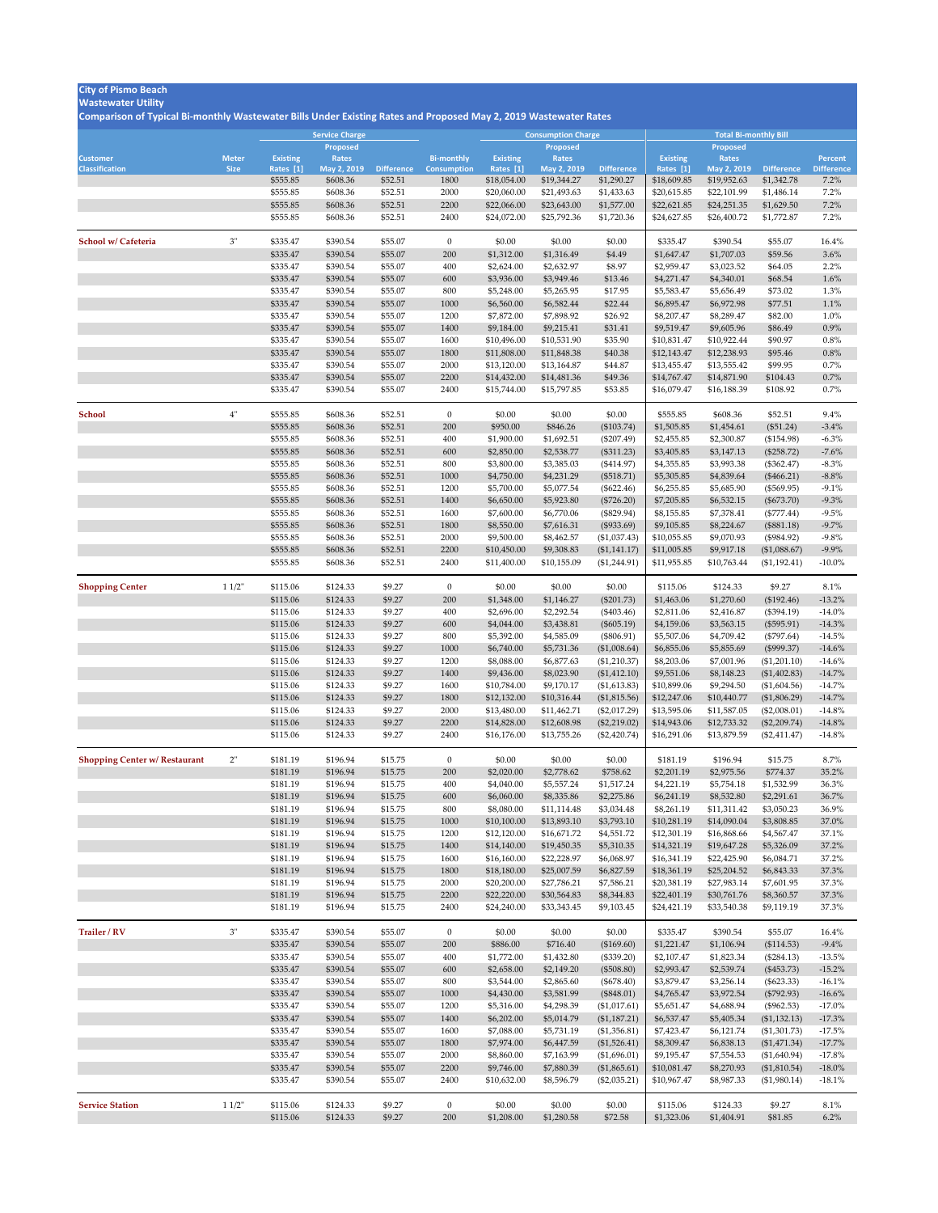## **Wastewater Utility**

|                                      |              |                       | <b>Service Charge</b>   |                              |                            |                           | <b>Consumption Charge</b>  |                                 | <b>Total Bi-monthly Bill</b> |                            |                                 |                              |  |
|--------------------------------------|--------------|-----------------------|-------------------------|------------------------------|----------------------------|---------------------------|----------------------------|---------------------------------|------------------------------|----------------------------|---------------------------------|------------------------------|--|
|                                      |              |                       | <b>Proposed</b>         |                              |                            |                           | <b>Proposed</b>            |                                 |                              | <b>Proposed</b>            |                                 |                              |  |
| <b>Customer</b>                      | <b>Meter</b> | <b>Existing</b>       | Rates                   |                              | <b>Bi-monthly</b>          | <b>Existing</b>           | Rates                      |                                 | <b>Existing</b>              | Rates                      |                                 | <b>Percent</b>               |  |
| <b>Classification</b>                | <b>Size</b>  | Rates [1]<br>\$555.85 | May 2, 2019<br>\$608.36 | <b>Difference</b><br>\$52.51 | <b>Consumption</b><br>1800 | Rates [1]<br>\$18,054.00  | May 2, 2019<br>\$19,344.27 | <b>Difference</b><br>\$1,290.27 | Rates [1]<br>\$18,609.85     | May 2, 2019<br>\$19,952.63 | <b>Difference</b><br>\$1,342.78 | <b>Difference</b><br>$7.2\%$ |  |
|                                      |              | \$555.85              | \$608.36                | \$52.51                      | 2000                       | \$20,060.00               | \$21,493.63                | \$1,433.63                      | \$20,615.85                  | \$22,101.99                | \$1,486.14                      | 7.2%                         |  |
|                                      |              | \$555.85              | \$608.36                | \$52.51                      | 2200                       | \$22,066.00               | \$23,643.00                | \$1,577.00                      | \$22,621.85                  | \$24,251.35                | \$1,629.50                      | 7.2%                         |  |
|                                      |              | \$555.85              | \$608.36                | \$52.51                      | 2400                       | \$24,072.00               | \$25,792.36                | \$1,720.36                      | \$24,627.85                  | \$26,400.72                | \$1,772.87                      | 7.2%                         |  |
|                                      |              |                       |                         |                              |                            |                           |                            |                                 |                              |                            |                                 |                              |  |
| School w/ Cafeteria                  | 3"           | \$335.47              | \$390.54                | \$55.07                      | $\overline{0}$             | \$0.00                    | \$0.00                     | \$0.00                          | \$335.47                     | \$390.54                   | \$55.07                         | 16.4%                        |  |
|                                      |              | \$335.47              | \$390.54                | \$55.07                      | 200                        | \$1,312.00                | \$1,316.49                 | \$4.49                          | \$1,647.47                   | \$1,707.03                 | \$59.56                         | $3.6\%$                      |  |
|                                      |              | \$335.47              | \$390.54                | \$55.07                      | 400                        | \$2,624.00                | \$2,632.97                 | \$8.97                          | \$2,959.47                   | \$3,023.52                 | \$64.05                         | 2.2%                         |  |
|                                      |              | \$335.47              | \$390.54                | \$55.07                      | 600                        | \$3,936.00                | \$3,949.46                 | \$13.46                         | \$4,271.47                   | \$4,340.01                 | \$68.54                         | 1.6%                         |  |
|                                      |              | \$335.47              | \$390.54                | \$55.07                      | 800                        | \$5,248.00                | \$5,265.95                 | \$17.95                         | \$5,583.47                   | \$5,656.49                 | \$73.02                         | 1.3%                         |  |
|                                      |              | \$335.47              | \$390.54                | \$55.07                      | 1000                       | \$6,560.00                | \$6,582.44                 | \$22.44                         | \$6,895.47                   | \$6,972.98                 | \$77.51                         | $1.1\%$                      |  |
|                                      |              | \$335.47              | \$390.54                | \$55.07                      | 1200                       | \$7,872.00                | \$7,898.92                 | \$26.92                         | \$8,207.47                   | \$8,289.47                 | \$82.00                         | $1.0\%$                      |  |
|                                      |              | \$335.47              | \$390.54                | \$55.07                      | 1400                       | \$9,184.00                | \$9,215.41                 | \$31.41                         | \$9,519.47                   | \$9,605.96                 | \$86.49                         | $0.9\%$                      |  |
|                                      |              | \$335.47              | \$390.54                | \$55.07                      | 1600                       | \$10,496.00               | \$10,531.90                | \$35.90                         | \$10,831.47                  | \$10,922.44                | \$90.97                         | $0.8\%$                      |  |
|                                      |              | \$335.47              | \$390.54                | \$55.07                      | 1800                       | \$11,808.00               | \$11,848.38                | \$40.38                         | \$12,143.47                  | \$12,238.93                | \$95.46                         | 0.8%                         |  |
|                                      |              | \$335.47              | \$390.54                | \$55.07                      | 2000                       | \$13,120.00               | \$13,164.87                | \$44.87                         | \$13,455.47                  | \$13,555.42                | \$99.95                         | $0.7\%$                      |  |
|                                      |              | \$335.47              | \$390.54                | \$55.07                      | 2200                       | \$14,432.00               | \$14,481.36                | \$49.36                         | \$14,767.47                  | \$14,871.90                | \$104.43                        | $0.7\%$                      |  |
|                                      |              | \$335.47              | \$390.54                | \$55.07                      | 2400                       | \$15,744.00               | \$15,797.85                | \$53.85                         | \$16,079.47                  | \$16,188.39                | \$108.92                        | $0.7\%$                      |  |
|                                      |              |                       |                         |                              |                            |                           |                            |                                 |                              |                            |                                 |                              |  |
| <b>School</b>                        | 4"           | \$555.85              | \$608.36                | \$52.51                      | $\overline{0}$             | \$0.00                    | \$0.00                     | \$0.00                          | \$555.85                     | \$608.36                   | \$52.51                         | 9.4%                         |  |
|                                      |              | \$555.85              | \$608.36                | \$52.51                      | 200<br>400                 | \$950.00                  | \$846.26                   | $(\$103.74)$                    | \$1,505.85                   | \$1,454.61                 | $(\$51.24)$                     | $-3.4\%$                     |  |
|                                      |              | \$555.85<br>\$555.85  | \$608.36<br>\$608.36    | \$52.51<br>\$52.51           | 600                        | \$1,900.00<br>\$2,850.00  | \$1,692.51                 | $(\$207.49)$                    | \$2,455.85                   | \$2,300.87<br>\$3,147.13   | (\$154.98)                      | $-6.3\%$<br>$-7.6%$          |  |
|                                      |              | \$555.85              | \$608.36                | \$52.51                      | 800                        | \$3,800.00                | \$2,538.77<br>\$3,385.03   | (\$311.23)<br>$(\$414.97)$      | \$3,405.85<br>\$4,355.85     | \$3,993.38                 | (\$258.72)<br>$(\$362.47)$      | $-8.3\%$                     |  |
|                                      |              | \$555.85              | \$608.36                | \$52.51                      | 1000                       | \$4,750.00                | \$4,231.29                 | (\$518.71)                      | \$5,305.85                   | \$4,839.64                 | $(\$466.21)$                    | $-8.8\%$                     |  |
|                                      |              | \$555.85              | \$608.36                | \$52.51                      | 1200                       | \$5,700.00                | \$5,077.54                 | $(\$622.46)$                    | \$6,255.85                   | \$5,685.90                 | (\$569.95)                      | $-9.1\%$                     |  |
|                                      |              | \$555.85              | \$608.36                | \$52.51                      | 1400                       | \$6,650.00                | \$5,923.80                 | $(\$726.20)$                    | \$7,205.85                   | \$6,532.15                 | $(\$673.70)$                    | $-9.3\%$                     |  |
|                                      |              | \$555.85              | \$608.36                | \$52.51                      | 1600                       | \$7,600.00                | \$6,770.06                 | $(\$829.94)$                    | \$8,155.85                   | \$7,378.41                 | $(\$777.44)$                    | $-9.5%$                      |  |
|                                      |              | \$555.85              | \$608.36                | \$52.51                      | 1800                       | \$8,550.00                | \$7,616.31                 | (\$933.69)                      | \$9,105.85                   | \$8,224.67                 | (\$881.18)                      | $-9.7\%$                     |  |
|                                      |              | \$555.85              | \$608.36                | \$52.51                      | 2000                       | \$9,500.00                | \$8,462.57                 | (\$1,037.43)                    | \$10,055.85                  | \$9,070.93                 | (\$984.92)                      | $-9.8%$                      |  |
|                                      |              | \$555.85              | \$608.36                | \$52.51                      | 2200                       | \$10,450.00               | \$9,308.83                 | (\$1,141.17)                    | \$11,005.85                  | \$9,917.18                 | (\$1,088.67)                    | $-9.9\%$                     |  |
|                                      |              | \$555.85              | \$608.36                | \$52.51                      | 2400                       | \$11,400.00               | \$10,155.09                | (\$1,244.91)                    | \$11,955.85                  | \$10,763.44                | (\$1,192.41)                    | $-10.0\%$                    |  |
|                                      |              |                       |                         |                              |                            |                           |                            |                                 |                              |                            |                                 |                              |  |
| <b>Shopping Center</b>               | 11/2"        | \$115.06              | \$124.33                | \$9.27                       | $\overline{0}$             | \$0.00                    | \$0.00                     | \$0.00                          | \$115.06                     | \$124.33                   | \$9.27                          | 8.1%                         |  |
|                                      |              | \$115.06              | \$124.33                | \$9.27                       | 200                        | \$1,348.00                | \$1,146.27                 | $(\$201.73)$                    | \$1,463.06                   | \$1,270.60                 | (\$192.46)                      | $-13.2\%$                    |  |
|                                      |              | \$115.06              | \$124.33                | \$9.27                       | 400                        | \$2,696.00                | \$2,292.54                 | $(\$403.46)$                    | \$2,811.06                   | \$2,416.87                 | $(\$394.19)$                    | $-14.0\%$                    |  |
|                                      |              | \$115.06              | \$124.33                | \$9.27                       | 600                        | \$4,044.00                | \$3,438.81                 | $(\$605.19)$                    | \$4,159.06                   | \$3,563.15                 | $(\$595.91)$                    | $-14.3\%$                    |  |
|                                      |              | \$115.06              | \$124.33                | \$9.27                       | 800                        | \$5,392.00                | \$4,585.09                 | $(\$806.91)$                    | \$5,507.06                   | \$4,709.42                 | $(\$797.64)$                    | $-14.5%$                     |  |
|                                      |              | \$115.06              | \$124.33                | \$9.27                       | 1000                       | \$6,740.00                | \$5,731.36                 | (\$1,008.64)                    | \$6,855.06                   | \$5,855.69                 | $(\$999.37)$                    | $-14.6%$                     |  |
|                                      |              | \$115.06              | \$124.33                | \$9.27                       | 1200                       | \$8,088.00                | \$6,877.63                 | $(\$1,210.37)$                  | \$8,203.06                   | \$7,001.96                 | $(\$1,201.10)$                  | $-14.6%$                     |  |
|                                      |              | \$115.06              | \$124.33                | \$9.27                       | 1400                       | \$9,436.00                | \$8,023.90                 | (\$1,412.10)                    | \$9,551.06                   | \$8,148.23                 | (\$1,402.83)                    | $-14.7\%$                    |  |
|                                      |              | \$115.06              | \$124.33                | \$9.27                       | 1600                       | \$10,784.00               | \$9,170.17                 | (\$1,613.83)                    | \$10,899.06                  | \$9,294.50                 | (\$1,604.56)                    | $-14.7%$                     |  |
|                                      |              | \$115.06              | \$124.33                | \$9.27                       | 1800                       | \$12,132.00               | \$10,316.44                | (\$1,815.56)                    | \$12,247.06                  | \$10,440.77                | (\$1,806.29)                    | $-14.7\%$                    |  |
|                                      |              | \$115.06              | \$124.33                | \$9.27                       | 2000                       | \$13,480.00               | \$11,462.71                | $(\$2,017.29)$                  | \$13,595.06                  | \$11,587.05                | $(\$2,008.01)$                  | $-14.8%$                     |  |
|                                      |              | \$115.06              | \$124.33                | \$9.27                       | 2200                       | \$14,828.00               | \$12,608.98                | $(\$2,219.02)$                  | \$14,943.06                  | \$12,733.32                | $(\$2,209.74)$                  | $-14.8\%$                    |  |
|                                      |              | \$115.06              | \$124.33                | \$9.27                       | 2400                       | \$16,176.00               | \$13,755.26                | $(\$2,420.74)$                  | \$16,291.06                  | \$13,879.59                | $(\$2,411.47)$                  | $-14.8\%$                    |  |
|                                      |              |                       |                         |                              |                            |                           |                            |                                 |                              |                            |                                 |                              |  |
| <b>Shopping Center w/ Restaurant</b> | 2"           | \$181.19              | \$196.94                | \$15.75                      | $\overline{0}$             | \$0.00                    | \$0.00                     | \$0.00                          | \$181.19                     | \$196.94                   | \$15.75                         | 8.7%                         |  |
|                                      |              | \$181.19              | \$196.94                | \$15.75                      | 200                        | \$2,020.00                | \$2,778.62                 | \$758.62                        | \$2,201.19                   | \$2,975.56                 | \$774.37                        | 35.2%                        |  |
|                                      |              | \$181.19              | \$196.94                | \$15.75                      | 400                        | \$4,040.00                | \$5,557.24                 | \$1,517.24                      | \$4,221.19                   | \$5,754.18                 | \$1,532.99                      | 36.3%                        |  |
|                                      |              | \$181.19<br>\$181.19  | \$196.94                | \$15.75                      | 600<br>800                 | \$6,060.00                | \$8,335.86                 | \$2,275.86<br>\$3,034.48        | \$6,241.19                   | \$8,532.80                 | \$2,291.61                      | 36.7%<br>36.9%               |  |
|                                      |              | \$181.19              | \$196.94<br>\$196.94    | \$15.75<br>\$15.75           | 1000                       | \$8,080.00<br>\$10,100.00 | \$11,114.48<br>\$13,893.10 | \$3,793.10                      | \$8,261.19<br>\$10,281.19    | \$11,311.42<br>\$14,090.04 | \$3,050.23<br>\$3,808.85        | 37.0%                        |  |
|                                      |              | \$181.19              | \$196.94                | \$15.75                      | 1200                       | \$12,120.00               | \$16,671.72                | \$4,551.72                      | \$12,301.19                  | \$16,868.66                | \$4,567.47                      | 37.1%                        |  |
|                                      |              | \$181.19              | \$196.94                | \$15.75                      | 1400                       | \$14,140.00               | \$19,450.35                | \$5,310.35                      | \$14,321.19                  | \$19,647.28                | \$5,326.09                      | 37.2%                        |  |
|                                      |              | \$181.19              | \$196.94                | \$15.75                      | 1600                       | \$16,160.00               | \$22,228.97                | \$6,068.97                      | \$16,341.19                  | \$22,425.90                | \$6,084.71                      | 37.2%                        |  |
|                                      |              | \$181.19              | \$196.94                | \$15.75                      | 1800                       | \$18,180.00               | \$25,007.59                | \$6,827.59                      | \$18,361.19                  | \$25,204.52                | \$6,843.33                      | 37.3%                        |  |
|                                      |              | \$181.19              | \$196.94                | \$15.75                      | 2000                       | \$20,200.00               | \$27,786.21                | \$7,586.21                      | \$20,381.19                  | \$27,983.14                | \$7,601.95                      | 37.3%                        |  |
|                                      |              | \$181.19              | \$196.94                | \$15.75                      | 2200                       | \$22,220.00               | \$30,564.83                | \$8,344.83                      | \$22,401.19                  | \$30,761.76                | \$8,360.57                      | 37.3%                        |  |
|                                      |              | \$181.19              | \$196.94                | \$15.75                      | 2400                       | \$24,240.00               | \$33,343.45                | \$9,103.45                      | \$24,421.19                  | \$33,540.38                | \$9,119.19                      | 37.3%                        |  |
|                                      |              |                       |                         |                              |                            |                           |                            |                                 |                              |                            |                                 |                              |  |
| Trailer / RV                         | 3"           | \$335.47              | \$390.54                | \$55.07                      | $\overline{0}$             | \$0.00                    | \$0.00                     | \$0.00                          | \$335.47                     | \$390.54                   | \$55.07                         | 16.4%                        |  |
|                                      |              | \$335.47              | \$390.54                | \$55.07                      | 200                        | \$886.00                  | \$716.40                   | (\$169.60)                      | \$1,221.47                   | \$1,106.94                 | (\$114.53)                      | $-9.4\%$                     |  |
|                                      |              | \$335.47              | \$390.54                | \$55.07                      | 400                        | \$1,772.00                | \$1,432.80                 | $(\$339.20)$                    | \$2,107.47                   | \$1,823.34                 | $(\$284.13)$                    | $-13.5%$                     |  |
|                                      |              | \$335.47              | \$390.54                | \$55.07                      | 600                        | \$2,658.00                | \$2,149.20                 | $(\$508.80)$                    | \$2,993.47                   | \$2,539.74                 | $(\$453.73)$                    | $-15.2\%$                    |  |
|                                      |              | \$335.47              | \$390.54                | \$55.07                      | 800                        | \$3,544.00                | \$2,865.60                 | $(\$678.40)$                    | \$3,879.47                   | \$3,256.14                 | $(\$623.33)$                    | $-16.1%$                     |  |
|                                      |              | \$335.47              | \$390.54                | \$55.07                      | 1000                       | \$4,430.00                | \$3,581.99                 | $(\$848.01)$                    | \$4,765.47                   | \$3,972.54                 | $(\$792.93)$                    | $-16.6%$                     |  |
|                                      |              | \$335.47              | \$390.54                | \$55.07                      | 1200                       | \$5,316.00                | \$4,298.39                 | (\$1,017.61)                    | \$5,651.47                   | \$4,688.94                 | $(\$962.53)$                    | $-17.0\%$                    |  |
|                                      |              | \$335.47              | \$390.54                | \$55.07                      | 1400                       | \$6,202.00                | \$5,014.79                 | (\$1,187.21)                    | \$6,537.47                   | \$5,405.34                 | (\$1,132.13)                    | $-17.3%$                     |  |
|                                      |              | \$335.47              | \$390.54                | \$55.07                      | 1600                       | \$7,088.00                | \$5,731.19                 | (\$1,356.81)                    | \$7,423.47                   | \$6,121.74                 | $(\$1,301.73)$                  | $-17.5%$                     |  |
|                                      |              | \$335.47              | \$390.54                | \$55.07                      | 1800                       | \$7,974.00                | \$6,447.59                 | (\$1,526.41)                    | \$8,309.47                   | \$6,838.13                 | (\$1,471.34)                    | $-17.7\%$                    |  |
|                                      |              | \$335.47              | \$390.54                | \$55.07                      | 2000                       | \$8,860.00                | \$7,163.99                 | (\$1,696.01)                    | \$9,195.47                   | \$7,554.53                 | (\$1,640.94)                    | $-17.8%$                     |  |
|                                      |              | \$335.47              | \$390.54                | \$55.07                      | 2200                       | \$9,746.00                | \$7,880.39                 | (\$1,865.61)                    | \$10,081.47                  | \$8,270.93                 | (\$1,810.54)                    | $-18.0\%$                    |  |
|                                      |              | \$335.47              | \$390.54                | \$55.07                      | 2400                       | \$10,632.00               | \$8,596.79                 | $(\$2,035.21)$                  | \$10,967.47                  | \$8,987.33                 | (\$1,980.14)                    | $-18.1%$                     |  |
|                                      |              |                       |                         |                              |                            |                           |                            |                                 |                              |                            |                                 |                              |  |
| <b>Service Station</b>               | $11/2$ "     | \$115.06              | \$124.33                | \$9.27                       | $\overline{0}$             | \$0.00                    | \$0.00                     | \$0.00                          | \$115.06                     | \$124.33                   | \$9.27                          | 8.1%                         |  |
|                                      |              | \$115.06              | \$124.33                | \$9.27                       | 200                        | \$1,208.00                | \$1,280.58                 | \$72.58                         | \$1,323.06                   | \$1,404.91                 | \$81.85                         | $6.2\%$                      |  |